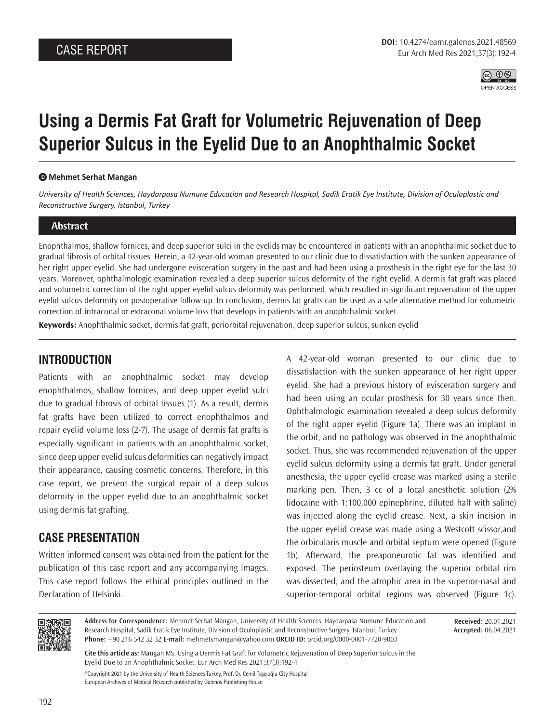

# **Using a Dermis Fat Graft for Volumetric Rejuvenation of Deep Superior Sulcus in the Eyelid Due to an Anophthalmic Socket**

#### **Mehmet Serhat Mangan**

*University of Health Sciences, Haydarpasa Numune Education and Research Hospital, Sadik Eratik Eye Institute, Division of Oculoplastic and Reconstructive Surgery, Istanbul, Turkey*

#### **Abstract**

Enophthalmos, shallow fornices, and deep superior sulci in the eyelids may be encountered in patients with an anophthalmic socket due to gradual fibrosis of orbital tissues. Herein, a 42-year-old woman presented to our clinic due to dissatisfaction with the sunken appearance of her right upper eyelid. She had undergone evisceration surgery in the past and had been using a prosthesis in the right eye for the last 30 years. Moreover, ophthalmologic examination revealed a deep superior sulcus deformity of the right eyelid. A dermis fat graft was placed and volumetric correction of the right upper eyelid sulcus deformity was performed, which resulted in significant rejuvenation of the upper eyelid sulcus deformity on postoperative follow-up. In conclusion, dermis fat grafts can be used as a safe alternative method for volumetric correction of intraconal or extraconal volume loss that develops in patients with an anophthalmic socket.

**Keywords:** Anophthalmic socket, dermis fat graft, periorbital rejuvenation, deep superior sulcus, sunken eyelid

## **INTRODUCTION**

Patients with an anophthalmic socket may develop enophthalmos, shallow fornices, and deep upper eyelid sulci due to gradual fibrosis of orbital tissues (1). As a result, dermis fat grafts have been utilized to correct enophthalmos and repair eyelid volume loss (2-7). The usage of dermis fat grafts is especially significant in patients with an anophthalmic socket, since deep upper eyelid sulcus deformities can negatively impact their appearance, causing cosmetic concerns. Therefore, in this case report, we present the surgical repair of a deep sulcus deformity in the upper eyelid due to an anophthalmic socket using dermis fat grafting.

## **CASE PRESENTATION**

Written informed consent was obtained from the patient for the publication of this case report and any accompanying images. This case report follows the ethical principles outlined in the Declaration of Helsinki.

A 42-year-old woman presented to our clinic due to dissatisfaction with the sunken appearance of her right upper eyelid. She had a previous history of evisceration surgery and had been using an ocular prosthesis for 30 years since then. Ophthalmologic examination revealed a deep sulcus deformity of the right upper eyelid (Figure 1a). There was an implant in the orbit, and no pathology was observed in the anophthalmic socket. Thus, she was recommended rejuvenation of the upper eyelid sulcus deformity using a dermis fat graft. Under general anesthesia, the upper eyelid crease was marked using a sterile marking pen. Then, 3 cc of a local anesthetic solution (2% lidocaine with 1:100,000 epinephrine, diluted half with saline) was injected along the eyelid crease. Next, a skin incision in the upper eyelid crease was made using a Westcott scissor,and the orbicularis muscle and orbital septum were opened (Figure 1b). Afterward, the preaponeurotic fat was identified and exposed. The periosteum overlaying the superior orbital rim was dissected, and the atrophic area in the superior-nasal and superior-temporal orbital regions was observed (Figure 1c).



**Address for Correspondence:** Mehmet Serhat Mangan, University of Health Sciences, Haydarpasa Numune Education and Research Hospital, Sadik Eratik Eye Institute, Division of Oculoplastic and Reconstructive Surgery, Istanbul, Turkey **Phone:** +90 216 542 32 32 **E-mail:** mehmetsmangan@yahoo.com **ORCID ID:** orcid.org/0000-0001-7720-9003

**Received:** 20.01.2021 **Accepted:** 06.04.2021

**Cite this article as:** Mangan MS. Using a Dermis Fat Graft for Volumetric Rejuvenation of Deep Superior Sulcus in the Eyelid Due to an Anophthalmic Socket. Eur Arch Med Res 2021;37(3):192-4

©Copyright 2021 by the University of Health Sciences Turkey, Prof. Dr. Cemil Taşçıoğlu City Hospital European Archives of Medical Research published by Galenos Publishing House.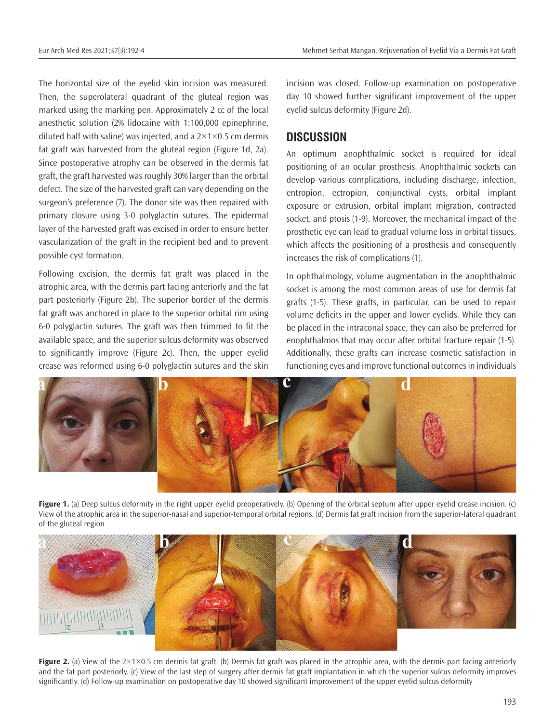The horizontal size of the eyelid skin incision was measured. Then, the superolateral quadrant of the gluteal region was marked using the marking pen. Approximately 2 cc of the local anesthetic solution (2% lidocaine with 1:100,000 epinephrine, diluted half with saline) was injected, and a  $2\times1\times0.5$  cm dermis fat graft was harvested from the gluteal region (Figure 1d, 2a). Since postoperative atrophy can be observed in the dermis fat graft, the graft harvested was roughly 30% larger than the orbital defect. The size of the harvested graft can vary depending on the surgeon's preference (7). The donor site was then repaired with primary closure using 3-0 polyglactin sutures. The epidermal layer of the harvested graft was excised in order to ensure better vascularization of the graft in the recipient bed and to prevent possible cyst formation.

Following excision, the dermis fat graft was placed in the atrophic area, with the dermis part facing anteriorly and the fat part posteriorly (Figure 2b). The superior border of the dermis fat graft was anchored in place to the superior orbital rim using 6-0 polyglactin sutures. The graft was then trimmed to fit the available space, and the superior sulcus deformity was observed to significantly improve (Figure 2c). Then, the upper eyelid crease was reformed using 6-0 polyglactin sutures and the skin

incision was closed. Follow-up examination on postoperative day 10 showed further significant improvement of the upper eyelid sulcus deformity (Figure 2d).

## **DISCUSSION**

An optimum anophthalmic socket is required for ideal positioning of an ocular prosthesis. Anophthalmic sockets can develop various complications, including discharge, infection, entropion, ectropion, conjunctival cysts, orbital implant exposure or extrusion, orbital implant migration, contracted socket, and ptosis (1-9). Moreover, the mechanical impact of the prosthetic eye can lead to gradual volume loss in orbital tissues, which affects the positioning of a prosthesis and consequently increases the risk of complications (1).

In ophthalmology, volume augmentation in the anophthalmic socket is among the most common areas of use for dermis fat grafts (1-5). These grafts, in particular, can be used to repair volume deficits in the upper and lower eyelids. While they can be placed in the intraconal space, they can also be preferred for enophthalmos that may occur after orbital fracture repair (1-5). Additionally, these grafts can increase cosmetic satisfaction in functioning eyes and improve functional outcomes in individuals



**Figure 1.** (a) Deep sulcus deformity in the right upper eyelid preoperatively. (b) Opening of the orbital septum after upper eyelid crease incision. (c) View of the atrophic area in the superior-nasal and superior-temporal orbital regions. (d) Dermis fat graft incision from the superior-lateral quadrant of the gluteal region



**Figure 2.** (a) View of the  $2\times1\times0.5$  cm dermis fat graft. (b) Dermis fat graft was placed in the atrophic area, with the dermis part facing anteriorly and the fat part posteriorly. (c) View of the last step of surgery after dermis fat graft implantation in which the superior sulcus deformity improves significantly. (d) Follow-up examination on postoperative day 10 showed significant improvement of the upper eyelid sulcus deformity